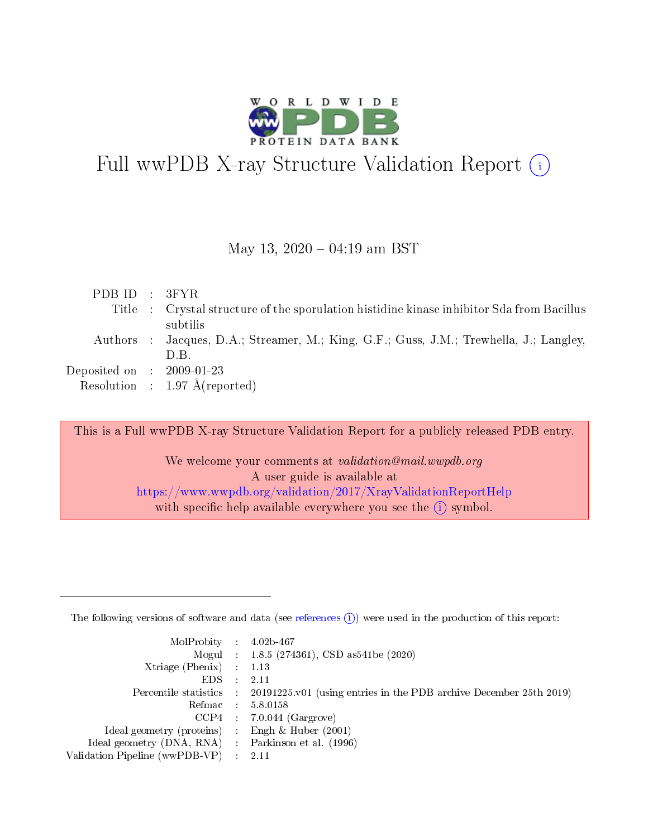

# Full wwPDB X-ray Structure Validation Report  $(i)$

### May 13,  $2020 - 04:19$  am BST

| PDBID : 3FYR                         |                                                                                           |
|--------------------------------------|-------------------------------------------------------------------------------------------|
|                                      | Title : Crystal structure of the sporulation histidine kinase inhibitor Sda from Bacillus |
|                                      | subtilis                                                                                  |
|                                      | Authors : Jacques, D.A.; Streamer, M.; King, G.F.; Guss, J.M.; Trewhella, J.; Langley,    |
|                                      | D.B.                                                                                      |
| Deposited on $\therefore$ 2009-01-23 |                                                                                           |
|                                      | Resolution : $1.97 \text{ Å}$ (reported)                                                  |

This is a Full wwPDB X-ray Structure Validation Report for a publicly released PDB entry.

We welcome your comments at validation@mail.wwpdb.org A user guide is available at <https://www.wwpdb.org/validation/2017/XrayValidationReportHelp> with specific help available everywhere you see the  $(i)$  symbol.

The following versions of software and data (see [references](https://www.wwpdb.org/validation/2017/XrayValidationReportHelp#references)  $(1)$ ) were used in the production of this report:

| $MolProbability$ 4.02b-467                          |               |                                                                                            |
|-----------------------------------------------------|---------------|--------------------------------------------------------------------------------------------|
|                                                     |               | Mogul : $1.8.5$ (274361), CSD as 541be (2020)                                              |
| Xtriage (Phenix) $: 1.13$                           |               |                                                                                            |
| EDS.                                                | $\mathcal{L}$ | -2.11                                                                                      |
|                                                     |               | Percentile statistics : 20191225.v01 (using entries in the PDB archive December 25th 2019) |
|                                                     |               | Refmac $5.8.0158$                                                                          |
| CCP4                                                |               | $7.0.044$ (Gargrove)                                                                       |
| Ideal geometry (proteins)                           | $\sim$        | Engh $\&$ Huber (2001)                                                                     |
| Ideal geometry (DNA, RNA) : Parkinson et al. (1996) |               |                                                                                            |
| Validation Pipeline (wwPDB-VP) : 2.11               |               |                                                                                            |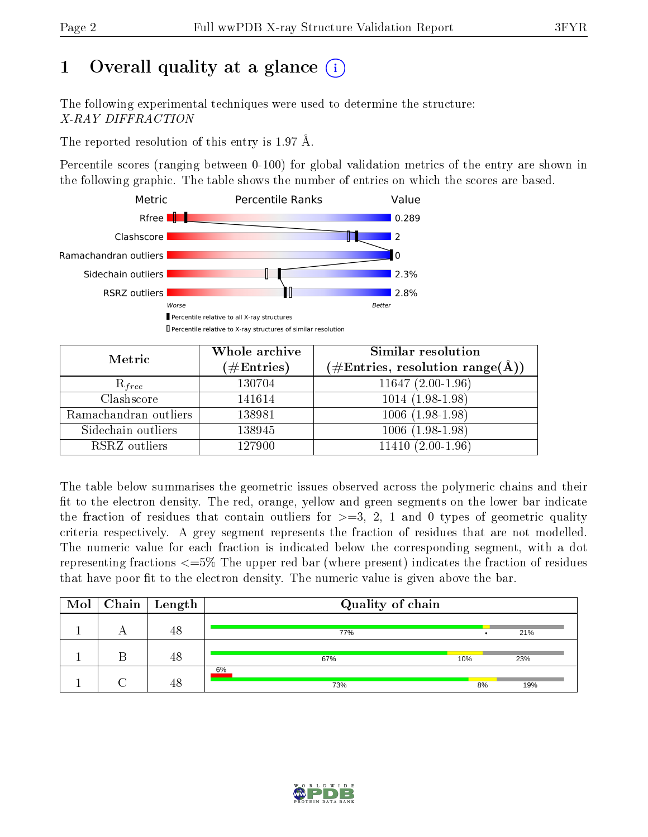# 1 [O](https://www.wwpdb.org/validation/2017/XrayValidationReportHelp#overall_quality)verall quality at a glance  $(i)$

The following experimental techniques were used to determine the structure: X-RAY DIFFRACTION

The reported resolution of this entry is 1.97 Å.

Percentile scores (ranging between 0-100) for global validation metrics of the entry are shown in the following graphic. The table shows the number of entries on which the scores are based.



| Metric                | Whole archive<br>$(\#\mathrm{Entries})$ | Similar resolution<br>$(\#\text{Entries}, \text{resolution range}(\textup{\AA}))$ |
|-----------------------|-----------------------------------------|-----------------------------------------------------------------------------------|
| $R_{free}$            | 130704                                  | $11647(2.00-1.96)$                                                                |
| Clashscore            | 141614                                  | $1014(1.98-1.98)$                                                                 |
| Ramachandran outliers | 138981                                  | $1006(1.98-1.98)$                                                                 |
| Sidechain outliers    | 138945                                  | $1006(1.98-1.98)$                                                                 |
| RSRZ outliers         | 127900                                  | $11410(2.00-1.96)$                                                                |

The table below summarises the geometric issues observed across the polymeric chains and their fit to the electron density. The red, orange, yellow and green segments on the lower bar indicate the fraction of residues that contain outliers for  $>=3, 2, 1$  and 0 types of geometric quality criteria respectively. A grey segment represents the fraction of residues that are not modelled. The numeric value for each fraction is indicated below the corresponding segment, with a dot representing fractions  $\epsilon=5\%$  The upper red bar (where present) indicates the fraction of residues that have poor fit to the electron density. The numeric value is given above the bar.

|  | $\boxed{\text{Mol}}$ Chain   Length | Quality of chain |     |    |     |
|--|-------------------------------------|------------------|-----|----|-----|
|  | 48                                  | 77%              |     |    | 21% |
|  | 48                                  | 67%              | 10% |    | 23% |
|  | 48                                  | 6%<br>73%        |     | 8% | 19% |

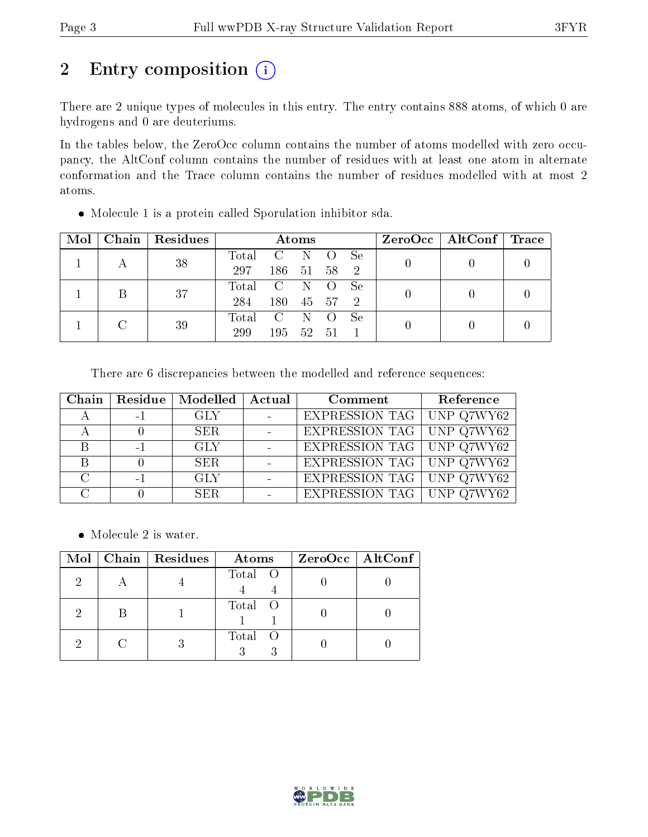# 2 Entry composition (i)

There are 2 unique types of molecules in this entry. The entry contains 888 atoms, of which 0 are hydrogens and 0 are deuteriums.

In the tables below, the ZeroOcc column contains the number of atoms modelled with zero occupancy, the AltConf column contains the number of residues with at least one atom in alternate conformation and the Trace column contains the number of residues modelled with at most 2 atoms.

| Mol | Chain | Residues | Atoms |                |              | ZeroOcc   AltConf   Trace |    |  |  |
|-----|-------|----------|-------|----------------|--------------|---------------------------|----|--|--|
|     |       | 38       | Total | C              | - N          | <b>U</b>                  | Se |  |  |
|     |       |          | 297   | 186            | -51          | 58                        | -2 |  |  |
|     | B     | 37       | Total | $\overline{C}$ | $\mathbb{N}$ | <sup>()</sup>             | Se |  |  |
|     |       |          | 284   | 180            | 45           | 57                        | -2 |  |  |
|     |       | 39       | Total | C              | $\mathbb{N}$ | <sup>()</sup>             | Se |  |  |
|     |       |          | 299   | 195            | - 52         | .51                       |    |  |  |

Molecule 1 is a protein called Sporulation inhibitor sda.

There are 6 discrepancies between the modelled and reference sequences:

|        |      | Chain   Residue   Modelled   Actual | Comment                          | Reference |
|--------|------|-------------------------------------|----------------------------------|-----------|
|        | $-1$ | GLY                                 | EXPRESSION TAG   UNP Q7WY62      |           |
|        |      | <b>SER</b>                          | <b>EXPRESSION TAG</b> UNP Q7WY62 |           |
|        | $-1$ | -GLY                                | <b>EXPRESSION TAG</b> UNP Q7WY62 |           |
|        |      | <b>SER</b>                          | EXPRESSION TAG UNP Q7WY62        |           |
| $\cap$ | $-1$ | -GLY                                | <b>EXPRESSION TAG</b> UNP Q7WY62 |           |
|        |      | SER.                                | EXPRESSION TAG UNP Q7WY62        |           |

• Molecule 2 is water.

| Mol | Chain   Residues | Atoms   | $ZeroOcc$   AltConf |
|-----|------------------|---------|---------------------|
|     |                  | Total O |                     |
|     |                  | Total O |                     |
|     |                  | Total O |                     |

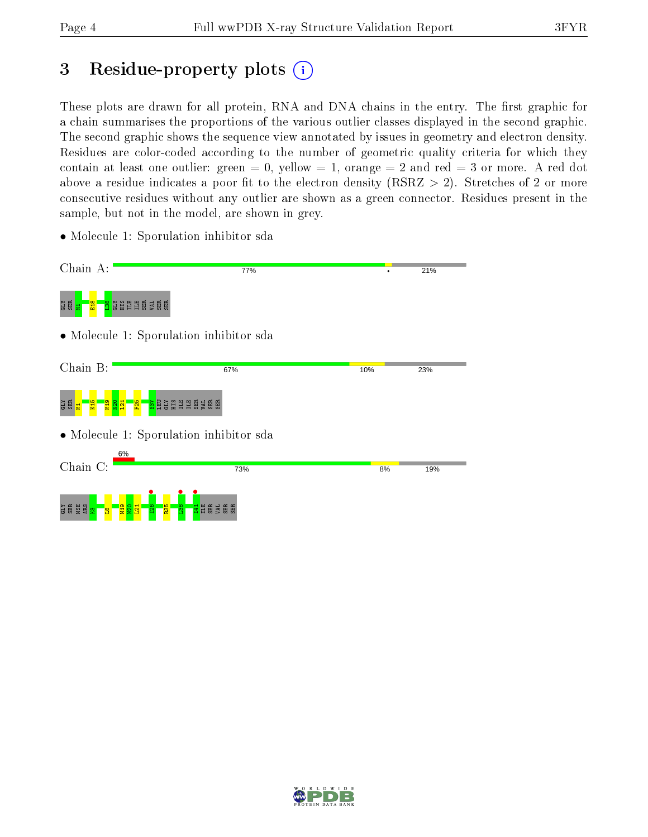## 3 Residue-property plots  $(i)$

These plots are drawn for all protein, RNA and DNA chains in the entry. The first graphic for a chain summarises the proportions of the various outlier classes displayed in the second graphic. The second graphic shows the sequence view annotated by issues in geometry and electron density. Residues are color-coded according to the number of geometric quality criteria for which they contain at least one outlier: green  $= 0$ , yellow  $= 1$ , orange  $= 2$  and red  $= 3$  or more. A red dot above a residue indicates a poor fit to the electron density (RSRZ  $> 2$ ). Stretches of 2 or more consecutive residues without any outlier are shown as a green connector. Residues present in the sample, but not in the model, are shown in grey.

• Molecule 1: Sporulation inhibitor sda

| Chain A:                                                                     | 77%                                            |     | 21% |
|------------------------------------------------------------------------------|------------------------------------------------|-----|-----|
| <mark>ន</mark> ្ទិដីដីដី ម្តី ទី ម្តី ម្តី<br>មិ ឆ្ព <mark>ី គ</mark><br>E18 |                                                |     |     |
|                                                                              | • Molecule 1: Sporulation inhibitor sda        |     |     |
| Chain B:                                                                     | 67%                                            | 10% | 23% |
| <b>Pa</b><br>ដូ គួ<br><b>R15</b><br>$\overline{\Omega}$<br>F <sub>25</sub>   | <b>SHABSER</b><br>$rac{57}{150}$               |     |     |
|                                                                              | • Molecule 1: Sporulation inhibitor sda        |     |     |
| 6%<br>Chain C:                                                               | 73%                                            | 8%  | 19% |
| <b>SER</b><br><b>ARG</b><br><b>M19</b><br>o                                  | R35<br>$\infty$<br><b>ASS</b><br>ၹ<br>ILE<br>m |     |     |

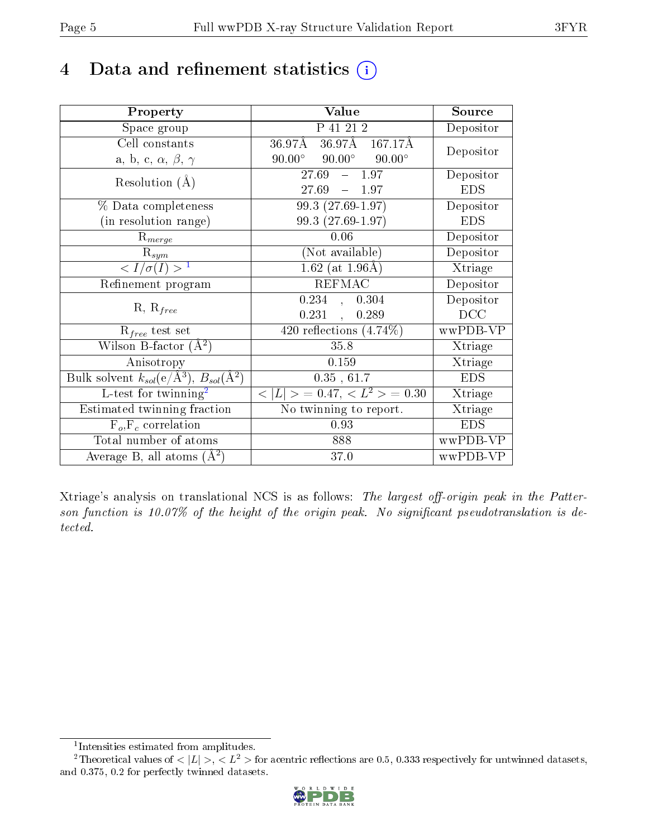## 4 Data and refinement statistics  $(i)$

| Property                                                   | Value                                            | Source     |
|------------------------------------------------------------|--------------------------------------------------|------------|
| Space group                                                | P 41 21 2                                        | Depositor  |
| Cell constants                                             | 36.97Å 36.97Å 167.17Å                            | Depositor  |
| a, b, c, $\alpha$ , $\beta$ , $\gamma$                     | $90.00^{\circ}$ $90.00^{\circ}$<br>$90.00^\circ$ |            |
| Resolution $(A)$                                           | $-1.97$<br>27.69                                 | Depositor  |
|                                                            | $27.69 - 1.97$                                   | <b>EDS</b> |
| $\%$ Data completeness                                     | 99.3 (27.69-1.97)                                | Depositor  |
| (in resolution range)                                      | 99.3 (27.69-1.97)                                | <b>EDS</b> |
| $R_{merge}$                                                | 0.06                                             | Depositor  |
| $\mathrm{R}_{sym}$                                         | (Not available)                                  | Depositor  |
| $\langle I/\sigma(I) \rangle^{-1}$                         | $1.62$ (at 1.96Å)                                | Xtriage    |
| Refinement program                                         | <b>REFMAC</b>                                    | Depositor  |
| $R, R_{free}$                                              | 0.234, 0.304                                     | Depositor  |
|                                                            | $0.231$ ,<br>0.289                               | DCC        |
| $R_{free}$ test set                                        | 420 reflections $(4.74\%)$                       | wwPDB-VP   |
| Wilson B-factor $(\AA^2)$                                  | 35.8                                             | Xtriage    |
| Anisotropy                                                 | 0.159                                            | Xtriage    |
| Bulk solvent $k_{sol}$ (e/Å <sup>3</sup> ), $B_{sol}(A^2)$ | 0.35, 61.7                                       | <b>EDS</b> |
| L-test for twinning <sup>2</sup>                           | $< L >$ = 0.47, $< L2 >$ = 0.30                  | Xtriage    |
| Estimated twinning fraction                                | No twinning to report.                           | Xtriage    |
| $F_o, F_c$ correlation                                     | 0.93                                             | <b>EDS</b> |
| Total number of atoms                                      | 888                                              | wwPDB-VP   |
| Average B, all atoms $(A^2)$                               | 37.0                                             | wwPDB-VP   |

Xtriage's analysis on translational NCS is as follows: The largest off-origin peak in the Patterson function is 10.07% of the height of the origin peak. No significant pseudotranslation is detected.

<sup>&</sup>lt;sup>2</sup>Theoretical values of  $\langle |L| \rangle$ ,  $\langle L^2 \rangle$  for acentric reflections are 0.5, 0.333 respectively for untwinned datasets, and 0.375, 0.2 for perfectly twinned datasets.



<span id="page-4-1"></span><span id="page-4-0"></span><sup>1</sup> Intensities estimated from amplitudes.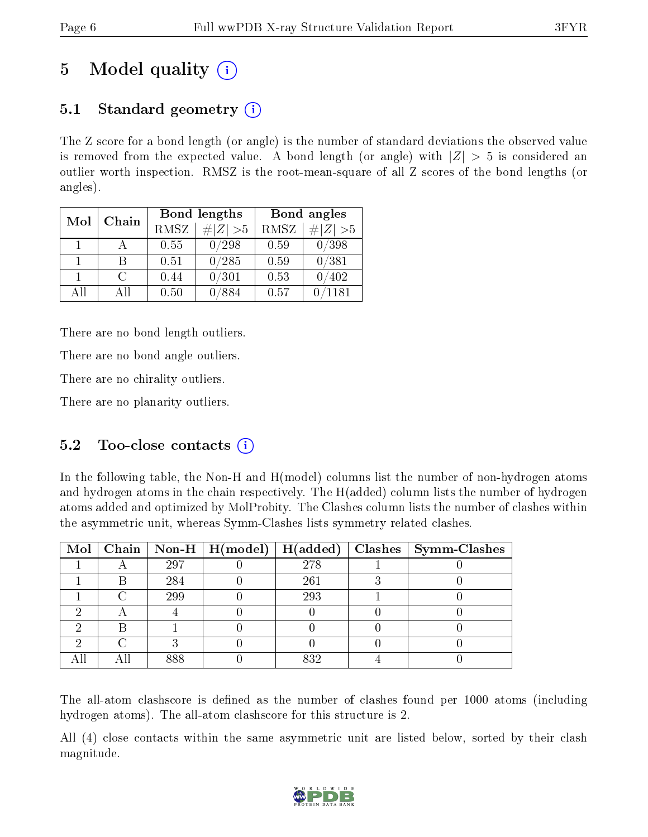# 5 Model quality  $(i)$

## 5.1 Standard geometry  $(i)$

The Z score for a bond length (or angle) is the number of standard deviations the observed value is removed from the expected value. A bond length (or angle) with  $|Z| > 5$  is considered an outlier worth inspection. RMSZ is the root-mean-square of all Z scores of the bond lengths (or angles).

| Mol<br>Chain |                             |      | Bond lengths | Bond angles |             |  |
|--------------|-----------------------------|------|--------------|-------------|-------------|--|
|              |                             | RMSZ | $\# Z >5$    | RMSZ        | $\# Z  > 5$ |  |
| $\mathbf{1}$ |                             | 0.55 | /298         | 0.59        | 0/398       |  |
|              | В                           | 0.51 | 0/285        | 0.59        | 0/381       |  |
| 1.           | $\mathcal{C}_{\mathcal{C}}$ | 0.44 | 0/301        | 0.53        | 402         |  |
| AΠ           | Αll                         | 0.50 | 884          | 0.57        | 1181        |  |

There are no bond length outliers.

There are no bond angle outliers.

There are no chirality outliers.

There are no planarity outliers.

### 5.2 Too-close contacts (i)

In the following table, the Non-H and H(model) columns list the number of non-hydrogen atoms and hydrogen atoms in the chain respectively. The H(added) column lists the number of hydrogen atoms added and optimized by MolProbity. The Clashes column lists the number of clashes within the asymmetric unit, whereas Symm-Clashes lists symmetry related clashes.

|   |     | Mol   Chain   Non-H   $H(model)$   $H(added)$ |     | Clashes   Symm-Clashes |
|---|-----|-----------------------------------------------|-----|------------------------|
|   | 297 |                                               | 278 |                        |
| R | 284 |                                               | 261 |                        |
|   | 299 |                                               | 293 |                        |
|   |     |                                               |     |                        |
|   |     |                                               |     |                        |
|   |     |                                               |     |                        |
|   | 888 |                                               | 832 |                        |

The all-atom clashscore is defined as the number of clashes found per 1000 atoms (including hydrogen atoms). The all-atom clashscore for this structure is 2.

All (4) close contacts within the same asymmetric unit are listed below, sorted by their clash magnitude.

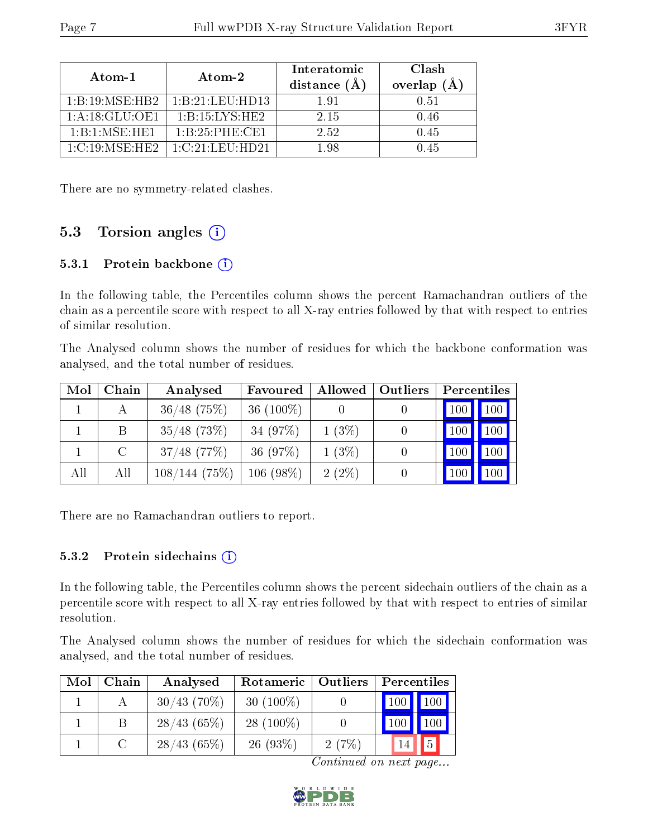| Atom-1                                                       | Atom-2                                          | Interatomic<br>distance $(A)$ | Clash<br>overlap $(A)$ |
|--------------------------------------------------------------|-------------------------------------------------|-------------------------------|------------------------|
| $1 \cdot B \cdot 19 \cdot MSE \cdot HB2$                     | 1: B: 21: LEU: HD13                             | 1.91                          | 0.51                   |
| 1: A:18: GLU:OF1                                             | $1 \cdot B \cdot 15 \cdot I \cdot YS \cdot HE2$ | 2.15                          | 0.46                   |
| $1 \cdot \text{R} \cdot 1 \cdot \text{MSE} \cdot \text{HE1}$ | $1 \cdot B \cdot 25 \cdot PHE \cdot CE1$        | 2.52                          | 0.45                   |
| $1-C.19$ MSE HE2                                             | -1 C 21 LEU HD21                                | - 98                          | 1.45                   |

There are no symmetry-related clashes.

### 5.3 Torsion angles  $(i)$

#### 5.3.1 Protein backbone  $(i)$

In the following table, the Percentiles column shows the percent Ramachandran outliers of the chain as a percentile score with respect to all X-ray entries followed by that with respect to entries of similar resolution.

The Analysed column shows the number of residues for which the backbone conformation was analysed, and the total number of residues.

| Mol | Chain | Analysed       | Favoured     | <b>Allowed</b> | Outliers | Percentiles |
|-----|-------|----------------|--------------|----------------|----------|-------------|
|     |       | $36/48$ (75%)  | 36 $(100\%)$ |                |          | 100<br>100  |
|     | В     | $35/48$ (73\%) | 34 (97%)     | $1(3\%)$       |          | $100\,$     |
|     | C     | $37/48$ (77%)  | 36 (97%)     | $1(3\%)$       |          | $100\,$     |
| All | All   | 108/144(75%)   | $106(98\%)$  | $2(2\%)$       |          |             |

There are no Ramachandran outliers to report.

#### 5.3.2 Protein sidechains  $(i)$

In the following table, the Percentiles column shows the percent sidechain outliers of the chain as a percentile score with respect to all X-ray entries followed by that with respect to entries of similar resolution.

The Analysed column shows the number of residues for which the sidechain conformation was analysed, and the total number of residues.

| Mol | Chain | Analysed       | Rotameric   Outliers |       | Percentiles |                |
|-----|-------|----------------|----------------------|-------|-------------|----------------|
|     |       | $30/43$ (70\%) | $30(100\%)$          |       | 100         | 100            |
|     |       | 28/43(65%)     | $28(100\%)$          |       |             | 100            |
|     |       | 28/43(65%)     | 26(93%)              | 2(7%) |             | $\overline{5}$ |

Continued on next page...

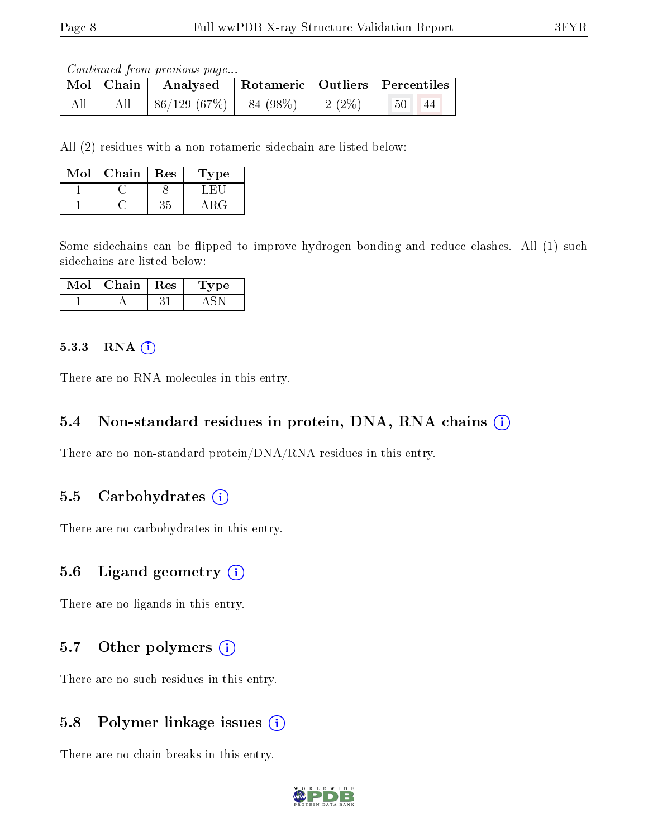Continued from previous page...

|     | Mol Chain Analysed Rotameric Outliers Percentiles |  |              |    |
|-----|---------------------------------------------------|--|--------------|----|
| All | $ 86/129(67\%) 84(98\%) 2(2\%)$                   |  | $^{\circ}50$ | 44 |

All (2) residues with a non-rotameric sidechain are listed below:

| Mol | Chain | Res | Type |
|-----|-------|-----|------|
|     |       |     | - 64 |
|     |       |     |      |

Some sidechains can be flipped to improve hydrogen bonding and reduce clashes. All (1) such sidechains are listed below:

| Mol | Chain | $\parallel$ Res | Type |
|-----|-------|-----------------|------|
|     |       |                 |      |

#### $5.3.3$  RNA  $(i)$

There are no RNA molecules in this entry.

#### 5.4 Non-standard residues in protein, DNA, RNA chains (i)

There are no non-standard protein/DNA/RNA residues in this entry.

#### 5.5 Carbohydrates  $(i)$

There are no carbohydrates in this entry.

#### 5.6 Ligand geometry (i)

There are no ligands in this entry.

#### 5.7 [O](https://www.wwpdb.org/validation/2017/XrayValidationReportHelp#nonstandard_residues_and_ligands)ther polymers  $(i)$

There are no such residues in this entry.

#### 5.8 Polymer linkage issues  $(i)$

There are no chain breaks in this entry.